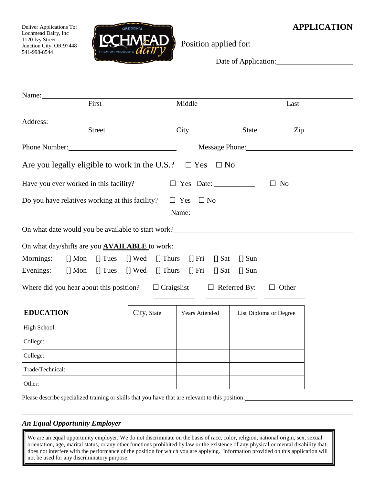# **EXPRESSIVE APPLICATION**

Deliver Applications To: Lochmead Dairy, Inc 1120 Ivy Street Junction City, OR 97448 541-998-8544



Position applied for:

Date of Application:

| Name:                                                                                                                                                                                                                          |                    |                                         |                        |                |  |
|--------------------------------------------------------------------------------------------------------------------------------------------------------------------------------------------------------------------------------|--------------------|-----------------------------------------|------------------------|----------------|--|
| First                                                                                                                                                                                                                          |                    | Middle                                  | Last                   |                |  |
| Address:                                                                                                                                                                                                                       |                    |                                         |                        |                |  |
| <b>Street</b>                                                                                                                                                                                                                  |                    | City                                    | <b>State</b>           | Zip            |  |
| Phone Number: 1988 and 1988 and 1988 and 1988 and 1988 and 1988 and 1988 and 1988 and 1988 and 1988 and 1988 and 1988 and 1988 and 1988 and 1988 and 1988 and 1988 and 1988 and 1988 and 1988 and 1988 and 1988 and 1988 and 1 |                    | Message Phone:                          |                        |                |  |
| Are you legally eligible to work in the U.S.?                                                                                                                                                                                  |                    | $\Box$ Yes<br>$\Box$ No                 |                        |                |  |
| Have you ever worked in this facility?                                                                                                                                                                                         |                    |                                         | $\Box$                 | N <sub>o</sub> |  |
| Do you have relatives working at this facility?                                                                                                                                                                                |                    | $\Box$ Yes $\Box$ No                    |                        |                |  |
|                                                                                                                                                                                                                                |                    | Name:                                   |                        |                |  |
| On what date would you be available to start work?<br><u>Decembers</u>                                                                                                                                                         |                    |                                         |                        |                |  |
| On what day/shifts are you <b>AVAILABLE</b> to work:                                                                                                                                                                           |                    |                                         |                        |                |  |
| Mornings:<br>$\lceil \cdot \rceil$ Mon $\lceil \cdot \rceil$ Tues                                                                                                                                                              | [] Wed<br>[] Thurs | $\left[\right]$ Fri $\left[\right]$ Sat | $\Box$ Sun             |                |  |
| Evenings:<br>$[]$ Mon<br>$[]$ Tues                                                                                                                                                                                             | [] Wed<br>[] Thurs | $[] Fri$ $[] Sat$                       | $[]$ Sun               |                |  |
| Where did you hear about this position?                                                                                                                                                                                        |                    | $\Box$ Craigslist $\Box$ Referred By:   |                        | $\Box$ Other   |  |
| <b>EDUCATION</b>                                                                                                                                                                                                               | City, State        | Years Attended                          | List Diploma or Degree |                |  |
| High School:                                                                                                                                                                                                                   |                    |                                         |                        |                |  |
| College:                                                                                                                                                                                                                       |                    |                                         |                        |                |  |
| College:                                                                                                                                                                                                                       |                    |                                         |                        |                |  |
| Trade/Technical:                                                                                                                                                                                                               |                    |                                         |                        |                |  |
| Other:                                                                                                                                                                                                                         |                    |                                         |                        |                |  |
|                                                                                                                                                                                                                                |                    |                                         |                        |                |  |

Please describe specialized training or skills that you have that are relevant to this position:

## *An Equal Opportunity Employer*

We are an equal opportunity employer. We do not discriminate on the basis of race, color, religion, national origin, sex, sexual orientation, age, marital status, or any other functions prohibited by law or the existence of any physical or mental disability that does not interfere with the performance of the position for which you are applying. Information provided on this application will not be used for any discriminatory purpose.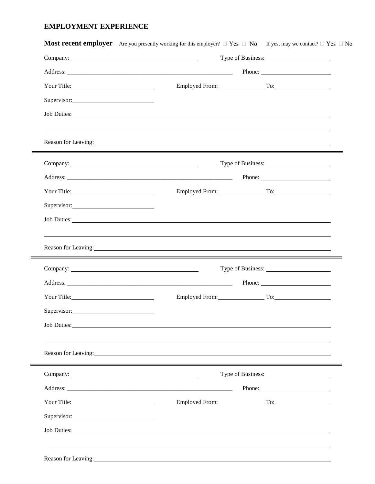### **EMPLOYMENT EXPERIENCE**

| Your Title: 1990 March 1991 | Employed From: To: To:                                                                                                                                                                                                         |  |  |  |  |
|-----------------------------|--------------------------------------------------------------------------------------------------------------------------------------------------------------------------------------------------------------------------------|--|--|--|--|
| Supervisor:                 |                                                                                                                                                                                                                                |  |  |  |  |
|                             | Job Duties: Note and the Commission of the Commission of the Commission of the Commission of the Commission of the Commission of the Commission of the Commission of the Commission of the Commission of the Commission of the |  |  |  |  |
|                             | Reason for Leaving:                                                                                                                                                                                                            |  |  |  |  |
|                             |                                                                                                                                                                                                                                |  |  |  |  |
|                             |                                                                                                                                                                                                                                |  |  |  |  |
|                             | Employed From: To:                                                                                                                                                                                                             |  |  |  |  |
| Supervisor:                 |                                                                                                                                                                                                                                |  |  |  |  |
|                             | Job Duties: New York Contract the Contract of the Contract of the Contract of the Contract of the Contract of the Contract of the Contract of the Contract of the Contract of the Contract of the Contract of the Contract of  |  |  |  |  |
|                             | Reason for Leaving:<br>,我们也不会有什么?""我们的人,我们也不会有什么?""我们的人,我们也不会有什么?""我们的人,我们也不会有什么?""我们的人,我们也不会有什么?""我们的人                                                                                                                        |  |  |  |  |
|                             |                                                                                                                                                                                                                                |  |  |  |  |
|                             |                                                                                                                                                                                                                                |  |  |  |  |
| Your Title: 1990 March 2014 | Employed From: To: To:                                                                                                                                                                                                         |  |  |  |  |
| Supervisor:                 |                                                                                                                                                                                                                                |  |  |  |  |
|                             | Job Duties:                                                                                                                                                                                                                    |  |  |  |  |
|                             | Reason for Leaving:<br>expansion of Leaving:                                                                                                                                                                                   |  |  |  |  |
|                             |                                                                                                                                                                                                                                |  |  |  |  |
|                             |                                                                                                                                                                                                                                |  |  |  |  |
|                             | Employed From: To: To:                                                                                                                                                                                                         |  |  |  |  |
|                             |                                                                                                                                                                                                                                |  |  |  |  |
| Supervisor:                 |                                                                                                                                                                                                                                |  |  |  |  |